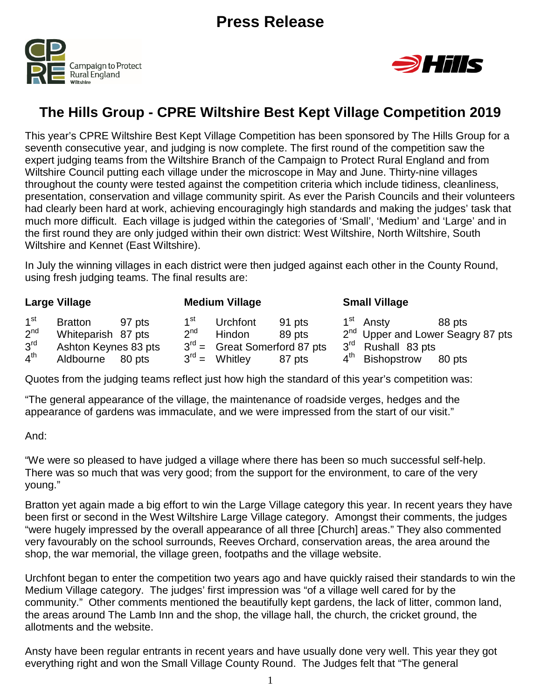



# **The Hills Group - CPRE Wiltshire Best Kept Village Competition 2019**

This year's CPRE Wiltshire Best Kept Village Competition has been sponsored by The Hills Group for a seventh consecutive year, and judging is now complete. The first round of the competition saw the expert judging teams from the Wiltshire Branch of the Campaign to Protect Rural England and from Wiltshire Council putting each village under the microscope in May and June. Thirty-nine villages throughout the county were tested against the competition criteria which include tidiness, cleanliness, presentation, conservation and village community spirit. As ever the Parish Councils and their volunteers had clearly been hard at work, achieving encouragingly high standards and making the judges' task that much more difficult. Each village is judged within the categories of 'Small', 'Medium' and 'Large' and in the first round they are only judged within their own district: West Wiltshire, North Wiltshire, South Wiltshire and Kennet (East Wiltshire).

In July the winning villages in each district were then judged against each other in the County Round, using fresh judging teams. The final results are:

|                 | Large Village        |        |                   | <b>Medium Village</b>          |        | <b>Small Village</b>           |                                               |
|-----------------|----------------------|--------|-------------------|--------------------------------|--------|--------------------------------|-----------------------------------------------|
| 1 <sup>st</sup> | <b>Bratton</b>       | 97 pts | 1 <sup>st</sup>   | Urchfont                       | 91 pts | 1 <sup>st</sup> Ansty          | 88 pts                                        |
| 2 <sup>nd</sup> | Whiteparish 87 pts   |        | 2 <sup>nd</sup>   | Hindon                         | 89 pts |                                | 2 <sup>nd</sup> Upper and Lower Seagry 87 pts |
| 3 <sup>rd</sup> | Ashton Keynes 83 pts |        |                   | $3rd$ = Great Somerford 87 pts |        | 3 <sup>rd</sup> Rushall 83 pts |                                               |
| 4 <sup>th</sup> | Aldbourne            | 80 pts | $3^{\text{rd}} =$ | Whitley                        | 87 pts | 4 <sup>th</sup> Bishopstrow    | 80 pts                                        |

Quotes from the judging teams reflect just how high the standard of this year's competition was:

"The general appearance of the village, the maintenance of roadside verges, hedges and the appearance of gardens was immaculate, and we were impressed from the start of our visit."

#### And:

"We were so pleased to have judged a village where there has been so much successful self-help. There was so much that was very good; from the support for the environment, to care of the very young."

Bratton yet again made a big effort to win the Large Village category this year. In recent years they have been first or second in the West Wiltshire Large Village category. Amongst their comments, the judges "were hugely impressed by the overall appearance of all three [Church] areas." They also commented very favourably on the school surrounds, Reeves Orchard, conservation areas, the area around the shop, the war memorial, the village green, footpaths and the village website.

Urchfont began to enter the competition two years ago and have quickly raised their standards to win the Medium Village category. The judges' first impression was "of a village well cared for by the community." Other comments mentioned the beautifully kept gardens, the lack of litter, common land, the areas around The Lamb Inn and the shop, the village hall, the church, the cricket ground, the allotments and the website.

Ansty have been regular entrants in recent years and have usually done very well. This year they got everything right and won the Small Village County Round. The Judges felt that "The general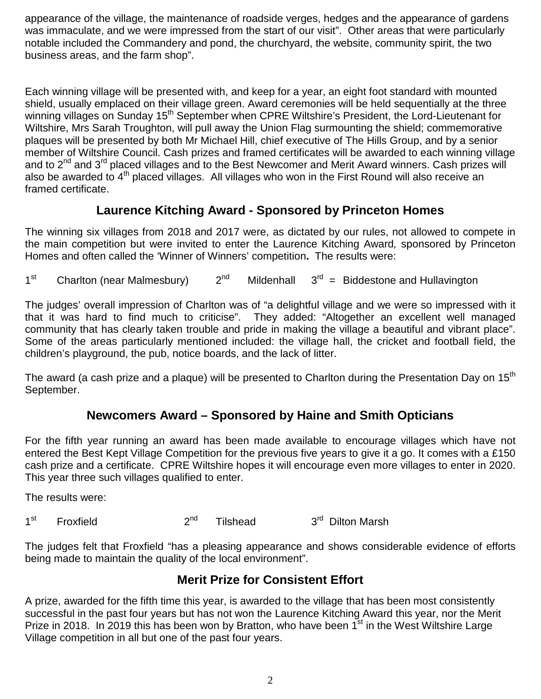appearance of the village, the maintenance of roadside verges, hedges and the appearance of gardens was immaculate, and we were impressed from the start of our visit". Other areas that were particularly notable included the Commandery and pond, the churchyard, the website, community spirit, the two business areas, and the farm shop".

Each winning village will be presented with, and keep for a year, an eight foot standard with mounted shield, usually emplaced on their village green. Award ceremonies will be held sequentially at the three winning villages on Sunday 15<sup>th</sup> September when CPRE Wiltshire's President, the Lord-Lieutenant for Wiltshire, Mrs Sarah Troughton, will pull away the Union Flag surmounting the shield; commemorative plaques will be presented by both Mr Michael Hill, chief executive of The Hills Group, and by a senior member of Wiltshire Council. Cash prizes and framed certificates will be awarded to each winning village and to 2<sup>nd</sup> and 3<sup>rd</sup> placed villages and to the Best Newcomer and Merit Award winners. Cash prizes will also be awarded to  $4<sup>th</sup>$  placed villages. All villages who won in the First Round will also receive an framed certificate.

### **Laurence Kitching Award - Sponsored by Princeton Homes**

The winning six villages from 2018 and 2017 were, as dictated by our rules, not allowed to compete in the main competition but were invited to enter the Laurence Kitching Award*,* sponsored by Princeton Homes and often called the 'Winner of Winners' competition**.** The results were:

 $1<sup>st</sup>$  Charlton (near Malmesbury)  $2<sup>nd</sup>$  Mildenhall  $3<sup>rd</sup>$  = Biddestone and Hullavington

The judges' overall impression of Charlton was of "a delightful village and we were so impressed with it that it was hard to find much to criticise". They added: "Altogether an excellent well managed community that has clearly taken trouble and pride in making the village a beautiful and vibrant place". Some of the areas particularly mentioned included: the village hall, the cricket and football field, the children's playground, the pub, notice boards, and the lack of litter.

The award (a cash prize and a plaque) will be presented to Charlton during the Presentation Day on 15<sup>th</sup> September.

## **Newcomers Award – Sponsored by Haine and Smith Opticians**

For the fifth year running an award has been made available to encourage villages which have not entered the Best Kept Village Competition for the previous five years to give it a go. It comes with a £150 cash prize and a certificate. CPRE Wiltshire hopes it will encourage even more villages to enter in 2020. This year three such villages qualified to enter.

The results were:

1<sup>st</sup> Froxfield 2<sup>nd</sup> Tilshead 3<sup>rd</sup> Dilton Marsh

The judges felt that Froxfield "has a pleasing appearance and shows considerable evidence of efforts being made to maintain the quality of the local environment".

### **Merit Prize for Consistent Effort**

A prize, awarded for the fifth time this year, is awarded to the village that has been most consistently successful in the past four years but has not won the Laurence Kitching Award this year, nor the Merit Prize in 2018. In 2019 this has been won by Bratton, who have been  $1<sup>st</sup>$  in the West Wiltshire Large Village competition in all but one of the past four years.